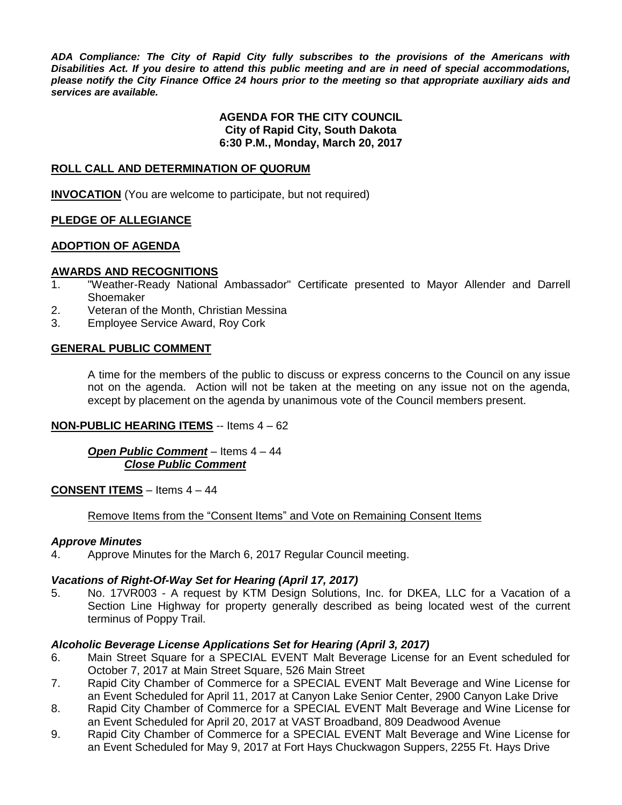*ADA Compliance: The City of Rapid City fully subscribes to the provisions of the Americans with Disabilities Act. If you desire to attend this public meeting and are in need of special accommodations, please notify the City Finance Office 24 hours prior to the meeting so that appropriate auxiliary aids and services are available.*

#### **AGENDA FOR THE CITY COUNCIL City of Rapid City, South Dakota 6:30 P.M., Monday, March 20, 2017**

#### **ROLL CALL AND DETERMINATION OF QUORUM**

**INVOCATION** (You are welcome to participate, but not required)

#### **PLEDGE OF ALLEGIANCE**

#### **ADOPTION OF AGENDA**

#### **AWARDS AND RECOGNITIONS**

- 1. "Weather-Ready National Ambassador" Certificate presented to Mayor Allender and Darrell Shoemaker
- 2. Veteran of the Month, Christian Messina
- 3. Employee Service Award, Roy Cork

#### **GENERAL PUBLIC COMMENT**

A time for the members of the public to discuss or express concerns to the Council on any issue not on the agenda. Action will not be taken at the meeting on any issue not on the agenda, except by placement on the agenda by unanimous vote of the Council members present.

#### **NON-PUBLIC HEARING ITEMS** -- Items 4 – 62

*Open Public Comment* – Items 4 – 44 *Close Public Comment*

#### **CONSENT ITEMS** – Items 4 – 44

#### Remove Items from the "Consent Items" and Vote on Remaining Consent Items

#### *Approve Minutes*

4. Approve Minutes for the March 6, 2017 Regular Council meeting.

#### *Vacations of Right-Of-Way Set for Hearing (April 17, 2017)*

5. No. 17VR003 - A request by KTM Design Solutions, Inc. for DKEA, LLC for a Vacation of a Section Line Highway for property generally described as being located west of the current terminus of Poppy Trail.

#### *Alcoholic Beverage License Applications Set for Hearing (April 3, 2017)*

- 6. Main Street Square for a SPECIAL EVENT Malt Beverage License for an Event scheduled for October 7, 2017 at Main Street Square, 526 Main Street
- 7. Rapid City Chamber of Commerce for a SPECIAL EVENT Malt Beverage and Wine License for an Event Scheduled for April 11, 2017 at Canyon Lake Senior Center, 2900 Canyon Lake Drive
- 8. Rapid City Chamber of Commerce for a SPECIAL EVENT Malt Beverage and Wine License for an Event Scheduled for April 20, 2017 at VAST Broadband, 809 Deadwood Avenue
- 9. Rapid City Chamber of Commerce for a SPECIAL EVENT Malt Beverage and Wine License for an Event Scheduled for May 9, 2017 at Fort Hays Chuckwagon Suppers, 2255 Ft. Hays Drive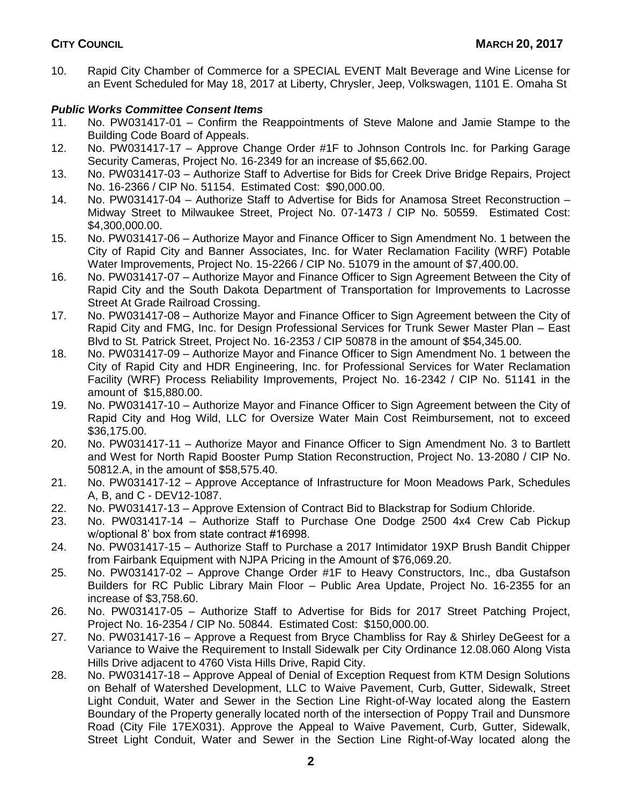10. Rapid City Chamber of Commerce for a SPECIAL EVENT Malt Beverage and Wine License for an Event Scheduled for May 18, 2017 at Liberty, Chrysler, Jeep, Volkswagen, 1101 E. Omaha St

# *Public Works Committee Consent Items*

- 11. No. PW031417-01 Confirm the Reappointments of Steve Malone and Jamie Stampe to the Building Code Board of Appeals.
- 12. No. PW031417-17 Approve Change Order #1F to Johnson Controls Inc. for Parking Garage Security Cameras, Project No. 16-2349 for an increase of \$5,662.00.
- 13. No. PW031417-03 Authorize Staff to Advertise for Bids for Creek Drive Bridge Repairs, Project No. 16-2366 / CIP No. 51154. Estimated Cost: \$90,000.00.
- 14. No. PW031417-04 Authorize Staff to Advertise for Bids for Anamosa Street Reconstruction Midway Street to Milwaukee Street, Project No. 07-1473 / CIP No. 50559. Estimated Cost: \$4,300,000.00.
- 15. No. PW031417-06 Authorize Mayor and Finance Officer to Sign Amendment No. 1 between the City of Rapid City and Banner Associates, Inc. for Water Reclamation Facility (WRF) Potable Water Improvements, Project No. 15-2266 / CIP No. 51079 in the amount of \$7,400.00.
- 16. No. PW031417-07 Authorize Mayor and Finance Officer to Sign Agreement Between the City of Rapid City and the South Dakota Department of Transportation for Improvements to Lacrosse Street At Grade Railroad Crossing.
- 17. No. PW031417-08 Authorize Mayor and Finance Officer to Sign Agreement between the City of Rapid City and FMG, Inc. for Design Professional Services for Trunk Sewer Master Plan – East Blvd to St. Patrick Street, Project No. 16-2353 / CIP 50878 in the amount of \$54,345.00.
- 18. No. PW031417-09 Authorize Mayor and Finance Officer to Sign Amendment No. 1 between the City of Rapid City and HDR Engineering, Inc. for Professional Services for Water Reclamation Facility (WRF) Process Reliability Improvements, Project No. 16-2342 / CIP No. 51141 in the amount of \$15,880.00.
- 19. No. PW031417-10 Authorize Mayor and Finance Officer to Sign Agreement between the City of Rapid City and Hog Wild, LLC for Oversize Water Main Cost Reimbursement, not to exceed \$36,175.00.
- 20. No. PW031417-11 Authorize Mayor and Finance Officer to Sign Amendment No. 3 to Bartlett and West for North Rapid Booster Pump Station Reconstruction, Project No. 13-2080 / CIP No. 50812.A, in the amount of \$58,575.40.
- 21. No. PW031417-12 Approve Acceptance of Infrastructure for Moon Meadows Park, Schedules A, B, and C - DEV12-1087.
- 22. No. PW031417-13 Approve Extension of Contract Bid to Blackstrap for Sodium Chloride.
- 23. No. PW031417-14 Authorize Staff to Purchase One Dodge 2500 4x4 Crew Cab Pickup w/optional 8' box from state contract #16998.
- 24. No. PW031417-15 Authorize Staff to Purchase a 2017 Intimidator 19XP Brush Bandit Chipper from Fairbank Equipment with NJPA Pricing in the Amount of \$76,069.20.
- 25. No. PW031417-02 Approve Change Order #1F to Heavy Constructors, Inc., dba Gustafson Builders for RC Public Library Main Floor – Public Area Update, Project No. 16-2355 for an increase of \$3,758.60.
- 26. No. PW031417-05 Authorize Staff to Advertise for Bids for 2017 Street Patching Project, Project No. 16-2354 / CIP No. 50844. Estimated Cost: \$150,000.00.
- 27. No. PW031417-16 Approve a Request from Bryce Chambliss for Ray & Shirley DeGeest for a Variance to Waive the Requirement to Install Sidewalk per City Ordinance 12.08.060 Along Vista Hills Drive adjacent to 4760 Vista Hills Drive, Rapid City.
- 28. No. PW031417-18 Approve Appeal of Denial of Exception Request from KTM Design Solutions on Behalf of Watershed Development, LLC to Waive Pavement, Curb, Gutter, Sidewalk, Street Light Conduit, Water and Sewer in the Section Line Right-of-Way located along the Eastern Boundary of the Property generally located north of the intersection of Poppy Trail and Dunsmore Road (City File 17EX031). Approve the Appeal to Waive Pavement, Curb, Gutter, Sidewalk, Street Light Conduit, Water and Sewer in the Section Line Right-of-Way located along the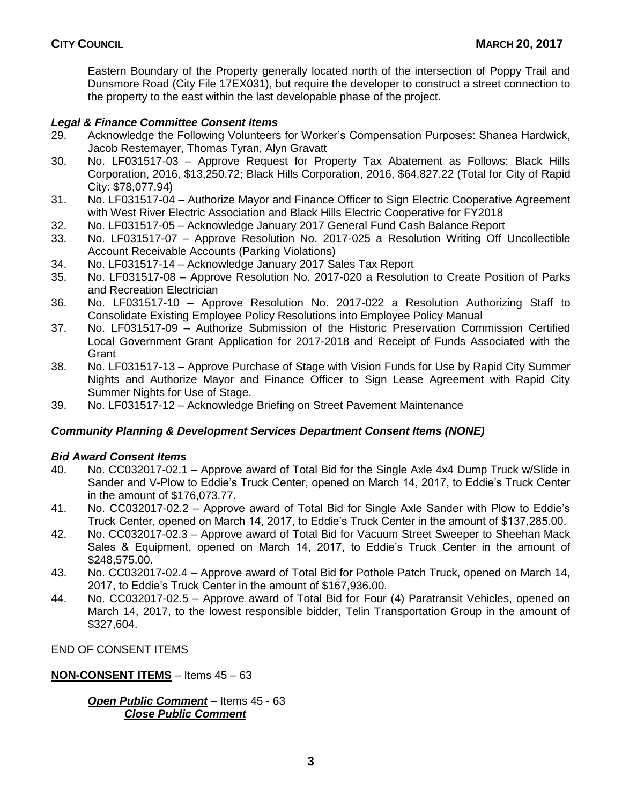Eastern Boundary of the Property generally located north of the intersection of Poppy Trail and Dunsmore Road (City File 17EX031), but require the developer to construct a street connection to the property to the east within the last developable phase of the project.

## *Legal & Finance Committee Consent Items*

- 29. Acknowledge the Following Volunteers for Worker's Compensation Purposes: Shanea Hardwick, Jacob Restemayer, Thomas Tyran, Alyn Gravatt
- 30. No. LF031517-03 Approve Request for Property Tax Abatement as Follows: Black Hills Corporation, 2016, \$13,250.72; Black Hills Corporation, 2016, \$64,827.22 (Total for City of Rapid City: \$78,077.94)
- 31. No. LF031517-04 Authorize Mayor and Finance Officer to Sign Electric Cooperative Agreement with West River Electric Association and Black Hills Electric Cooperative for FY2018
- 32. No. LF031517-05 Acknowledge January 2017 General Fund Cash Balance Report
- 33. No. LF031517-07 Approve Resolution No. 2017-025 a Resolution Writing Off Uncollectible Account Receivable Accounts (Parking Violations)
- 34. No. LF031517-14 Acknowledge January 2017 Sales Tax Report
- 35. No. LF031517-08 Approve Resolution No. 2017-020 a Resolution to Create Position of Parks and Recreation Electrician
- 36. No. LF031517-10 Approve Resolution No. 2017-022 a Resolution Authorizing Staff to Consolidate Existing Employee Policy Resolutions into Employee Policy Manual
- 37. No. LF031517-09 Authorize Submission of the Historic Preservation Commission Certified Local Government Grant Application for 2017-2018 and Receipt of Funds Associated with the Grant
- 38. No. LF031517-13 Approve Purchase of Stage with Vision Funds for Use by Rapid City Summer Nights and Authorize Mayor and Finance Officer to Sign Lease Agreement with Rapid City Summer Nights for Use of Stage.
- 39. No. LF031517-12 Acknowledge Briefing on Street Pavement Maintenance

## *Community Planning & Development Services Department Consent Items (NONE)*

## *Bid Award Consent Items*

- 40. No. CC032017-02.1 Approve award of Total Bid for the Single Axle 4x4 Dump Truck w/Slide in Sander and V-Plow to Eddie's Truck Center, opened on March 14, 2017, to Eddie's Truck Center in the amount of \$176,073.77.
- 41. No. CC032017-02.2 Approve award of Total Bid for Single Axle Sander with Plow to Eddie's Truck Center, opened on March 14, 2017, to Eddie's Truck Center in the amount of \$137,285.00.
- 42. No. CC032017-02.3 Approve award of Total Bid for Vacuum Street Sweeper to Sheehan Mack Sales & Equipment, opened on March 14, 2017, to Eddie's Truck Center in the amount of \$248,575.00.
- 43. No. CC032017-02.4 Approve award of Total Bid for Pothole Patch Truck, opened on March 14, 2017, to Eddie's Truck Center in the amount of \$167,936.00.
- 44. No. CC032017-02.5 Approve award of Total Bid for Four (4) Paratransit Vehicles, opened on March 14, 2017, to the lowest responsible bidder, Telin Transportation Group in the amount of \$327,604.

END OF CONSENT ITEMS

## **NON-CONSENT ITEMS** – Items 45 – 63

## *Open Public Comment* – Items 45 - 63 *Close Public Comment*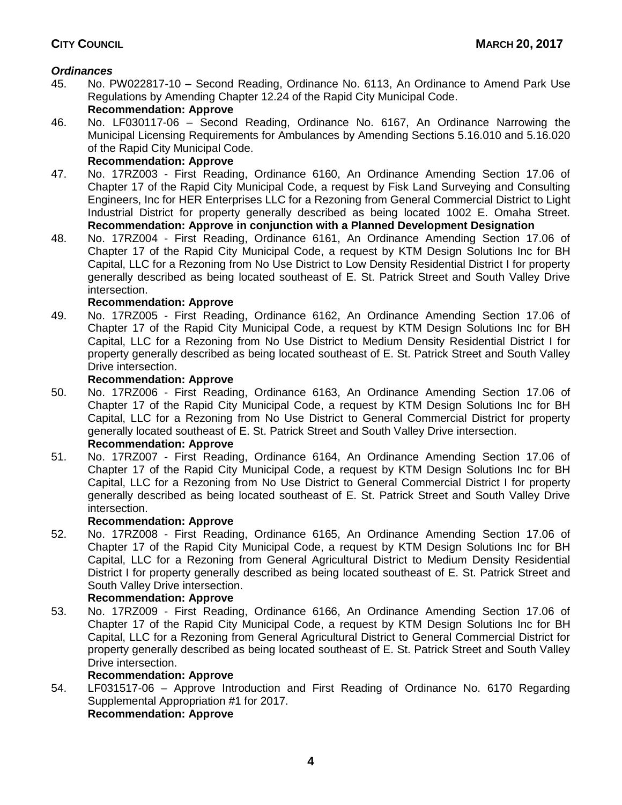# *Ordinances*

- 45. No. PW022817-10 Second Reading, Ordinance No. 6113, An Ordinance to Amend Park Use Regulations by Amending Chapter 12.24 of the Rapid City Municipal Code. **Recommendation: Approve**
- 46. No. LF030117-06 Second Reading, Ordinance No. 6167, An Ordinance Narrowing the Municipal Licensing Requirements for Ambulances by Amending Sections 5.16.010 and 5.16.020 of the Rapid City Municipal Code.

## **Recommendation: Approve**

- 47. No. 17RZ003 First Reading, Ordinance 6160, An Ordinance Amending Section 17.06 of Chapter 17 of the Rapid City Municipal Code, a request by Fisk Land Surveying and Consulting Engineers, Inc for HER Enterprises LLC for a Rezoning from General Commercial District to Light Industrial District for property generally described as being located 1002 E. Omaha Street. **Recommendation: Approve in conjunction with a Planned Development Designation**
- 48. No. 17RZ004 First Reading, Ordinance 6161, An Ordinance Amending Section 17.06 of Chapter 17 of the Rapid City Municipal Code, a request by KTM Design Solutions Inc for BH Capital, LLC for a Rezoning from No Use District to Low Density Residential District I for property generally described as being located southeast of E. St. Patrick Street and South Valley Drive intersection.

## **Recommendation: Approve**

49. No. 17RZ005 - First Reading, Ordinance 6162, An Ordinance Amending Section 17.06 of Chapter 17 of the Rapid City Municipal Code, a request by KTM Design Solutions Inc for BH Capital, LLC for a Rezoning from No Use District to Medium Density Residential District I for property generally described as being located southeast of E. St. Patrick Street and South Valley Drive intersection.

## **Recommendation: Approve**

- 50. No. 17RZ006 First Reading, Ordinance 6163, An Ordinance Amending Section 17.06 of Chapter 17 of the Rapid City Municipal Code, a request by KTM Design Solutions Inc for BH Capital, LLC for a Rezoning from No Use District to General Commercial District for property generally located southeast of E. St. Patrick Street and South Valley Drive intersection. **Recommendation: Approve**
- 51. No. 17RZ007 First Reading, Ordinance 6164, An Ordinance Amending Section 17.06 of Chapter 17 of the Rapid City Municipal Code, a request by KTM Design Solutions Inc for BH Capital, LLC for a Rezoning from No Use District to General Commercial District I for property generally described as being located southeast of E. St. Patrick Street and South Valley Drive intersection.

## **Recommendation: Approve**

52. No. 17RZ008 - First Reading, Ordinance 6165, An Ordinance Amending Section 17.06 of Chapter 17 of the Rapid City Municipal Code, a request by KTM Design Solutions Inc for BH Capital, LLC for a Rezoning from General Agricultural District to Medium Density Residential District I for property generally described as being located southeast of E. St. Patrick Street and South Valley Drive intersection.

# **Recommendation: Approve**

53. No. 17RZ009 - First Reading, Ordinance 6166, An Ordinance Amending Section 17.06 of Chapter 17 of the Rapid City Municipal Code, a request by KTM Design Solutions Inc for BH Capital, LLC for a Rezoning from General Agricultural District to General Commercial District for property generally described as being located southeast of E. St. Patrick Street and South Valley Drive intersection.

# **Recommendation: Approve**

54. LF031517-06 – Approve Introduction and First Reading of Ordinance No. 6170 Regarding Supplemental Appropriation #1 for 2017. **Recommendation: Approve**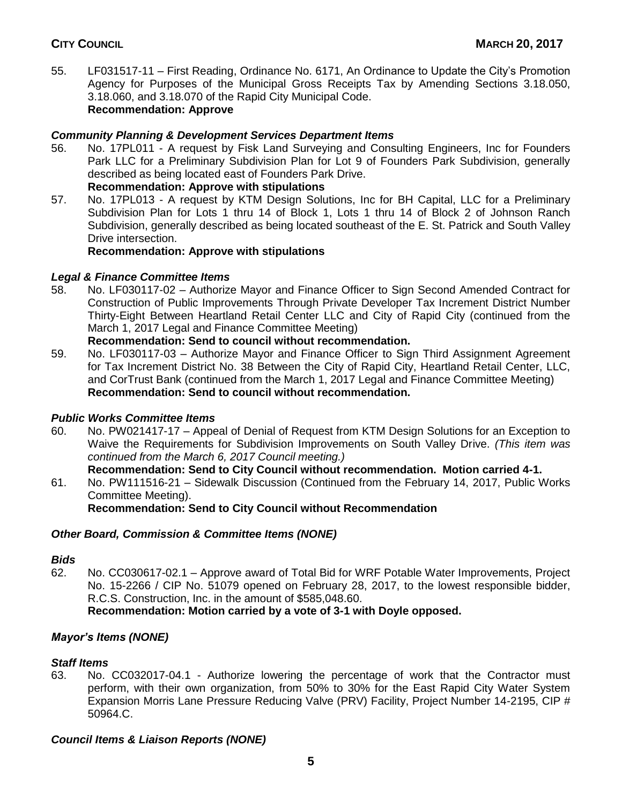55. LF031517-11 – First Reading, Ordinance No. 6171, An Ordinance to Update the City's Promotion Agency for Purposes of the Municipal Gross Receipts Tax by Amending Sections 3.18.050, 3.18.060, and 3.18.070 of the Rapid City Municipal Code. **Recommendation: Approve**

# *Community Planning & Development Services Department Items*

56. No. 17PL011 - A request by Fisk Land Surveying and Consulting Engineers, Inc for Founders Park LLC for a Preliminary Subdivision Plan for Lot 9 of Founders Park Subdivision, generally described as being located east of Founders Park Drive.

# **Recommendation: Approve with stipulations**

57. No. 17PL013 - A request by KTM Design Solutions, Inc for BH Capital, LLC for a Preliminary Subdivision Plan for Lots 1 thru 14 of Block 1, Lots 1 thru 14 of Block 2 of Johnson Ranch Subdivision, generally described as being located southeast of the E. St. Patrick and South Valley Drive intersection.

## **Recommendation: Approve with stipulations**

## *Legal & Finance Committee Items*

58. No. LF030117-02 – Authorize Mayor and Finance Officer to Sign Second Amended Contract for Construction of Public Improvements Through Private Developer Tax Increment District Number Thirty-Eight Between Heartland Retail Center LLC and City of Rapid City (continued from the March 1, 2017 Legal and Finance Committee Meeting)

## **Recommendation: Send to council without recommendation.**

59. No. LF030117-03 – Authorize Mayor and Finance Officer to Sign Third Assignment Agreement for Tax Increment District No. 38 Between the City of Rapid City, Heartland Retail Center, LLC, and CorTrust Bank (continued from the March 1, 2017 Legal and Finance Committee Meeting) **Recommendation: Send to council without recommendation.**

## *Public Works Committee Items*

60. No. PW021417-17 – Appeal of Denial of Request from KTM Design Solutions for an Exception to Waive the Requirements for Subdivision Improvements on South Valley Drive. *(This item was continued from the March 6, 2017 Council meeting.)*

# **Recommendation: Send to City Council without recommendation. Motion carried 4-1.** 61. No. PW111516-21 – Sidewalk Discussion (Continued from the February 14, 2017, Public Works Committee Meeting).

**Recommendation: Send to City Council without Recommendation**

# *Other Board, Commission & Committee Items (NONE)*

## *Bids*

62. No. CC030617-02.1 – Approve award of Total Bid for WRF Potable Water Improvements, Project No. 15-2266 / CIP No. 51079 opened on February 28, 2017, to the lowest responsible bidder, R.C.S. Construction, Inc. in the amount of \$585,048.60.

# **Recommendation: Motion carried by a vote of 3-1 with Doyle opposed.**

# *Mayor's Items (NONE)*

## *Staff Items*

63. No. CC032017-04.1 - Authorize lowering the percentage of work that the Contractor must perform, with their own organization, from 50% to 30% for the East Rapid City Water System Expansion Morris Lane Pressure Reducing Valve (PRV) Facility, Project Number 14-2195, CIP # 50964.C.

# *Council Items & Liaison Reports (NONE)*